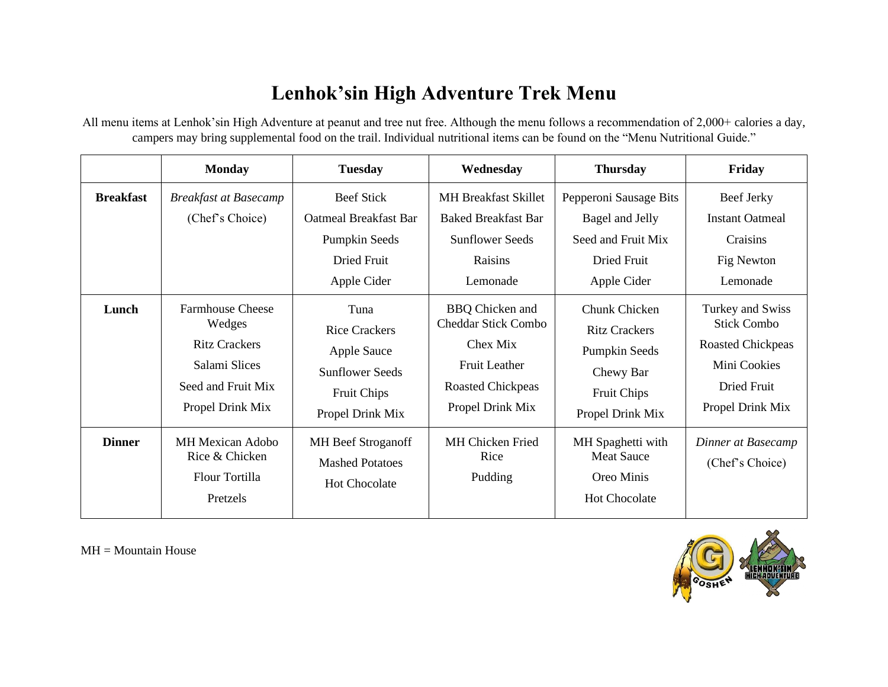## **Lenhok'sin High Adventure Trek Menu**

All menu items at Lenhok'sin High Adventure at peanut and tree nut free. Although the menu follows a recommendation of 2,000+ calories a day, campers may bring supplemental food on the trail. Individual nutritional items can be found on the "Menu Nutritional Guide."

|                  | <b>Monday</b>                                                                                                        | <b>Tuesday</b>                                                                                                         | Wednesday                                                                                                                                | <b>Thursday</b>                                                                                               | Friday                                                                                                                |
|------------------|----------------------------------------------------------------------------------------------------------------------|------------------------------------------------------------------------------------------------------------------------|------------------------------------------------------------------------------------------------------------------------------------------|---------------------------------------------------------------------------------------------------------------|-----------------------------------------------------------------------------------------------------------------------|
| <b>Breakfast</b> | <b>Breakfast at Basecamp</b><br>(Chef's Choice)                                                                      | <b>Beef Stick</b><br><b>Oatmeal Breakfast Bar</b><br><b>Pumpkin Seeds</b><br>Dried Fruit<br>Apple Cider                | <b>MH Breakfast Skillet</b><br><b>Baked Breakfast Bar</b><br><b>Sunflower Seeds</b><br>Raisins<br>Lemonade                               | Pepperoni Sausage Bits<br>Bagel and Jelly<br>Seed and Fruit Mix<br>Dried Fruit<br>Apple Cider                 | Beef Jerky<br><b>Instant Oatmeal</b><br>Craisins<br>Fig Newton<br>Lemonade                                            |
| Lunch            | <b>Farmhouse Cheese</b><br>Wedges<br><b>Ritz Crackers</b><br>Salami Slices<br>Seed and Fruit Mix<br>Propel Drink Mix | Tuna<br><b>Rice Crackers</b><br><b>Apple Sauce</b><br><b>Sunflower Seeds</b><br><b>Fruit Chips</b><br>Propel Drink Mix | <b>BBQ</b> Chicken and<br><b>Cheddar Stick Combo</b><br>Chex Mix<br><b>Fruit Leather</b><br><b>Roasted Chickpeas</b><br>Propel Drink Mix | Chunk Chicken<br><b>Ritz Crackers</b><br>Pumpkin Seeds<br>Chewy Bar<br><b>Fruit Chips</b><br>Propel Drink Mix | Turkey and Swiss<br><b>Stick Combo</b><br><b>Roasted Chickpeas</b><br>Mini Cookies<br>Dried Fruit<br>Propel Drink Mix |
| <b>Dinner</b>    | <b>MH Mexican Adobo</b><br>Rice & Chicken<br>Flour Tortilla<br>Pretzels                                              | <b>MH</b> Beef Stroganoff<br><b>Mashed Potatoes</b><br>Hot Chocolate                                                   | MH Chicken Fried<br>Rice<br>Pudding                                                                                                      | MH Spaghetti with<br><b>Meat Sauce</b><br>Oreo Minis<br><b>Hot Chocolate</b>                                  | Dinner at Basecamp<br>(Chef's Choice)                                                                                 |

MH = Mountain House